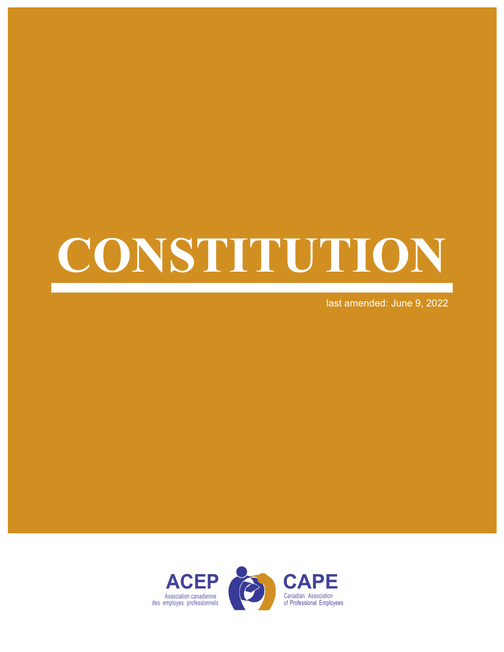# CONSTITUTION

last amended: June 9, 2022

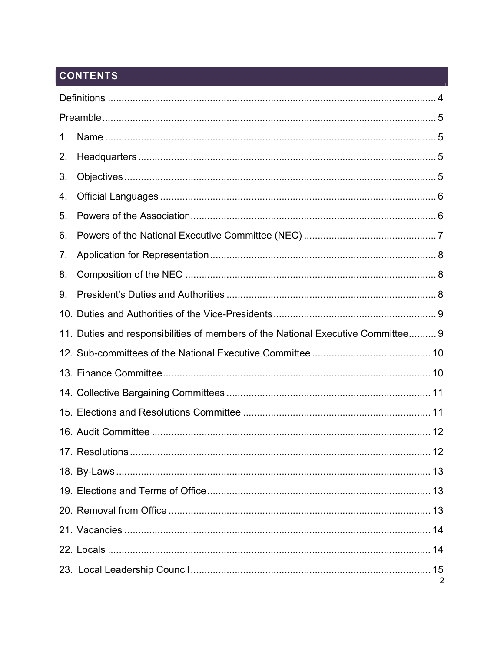# **CONTENTS**

| 1. |                                                                                  |   |  |
|----|----------------------------------------------------------------------------------|---|--|
| 2. |                                                                                  |   |  |
| 3. |                                                                                  |   |  |
| 4. |                                                                                  |   |  |
| 5. |                                                                                  |   |  |
| 6. |                                                                                  |   |  |
| 7. |                                                                                  |   |  |
| 8. |                                                                                  |   |  |
| 9. |                                                                                  |   |  |
|    |                                                                                  |   |  |
|    | 11. Duties and responsibilities of members of the National Executive Committee 9 |   |  |
|    |                                                                                  |   |  |
|    |                                                                                  |   |  |
|    |                                                                                  |   |  |
|    |                                                                                  |   |  |
|    |                                                                                  |   |  |
|    |                                                                                  |   |  |
|    |                                                                                  |   |  |
|    |                                                                                  |   |  |
|    |                                                                                  |   |  |
|    |                                                                                  |   |  |
|    |                                                                                  |   |  |
|    |                                                                                  | 2 |  |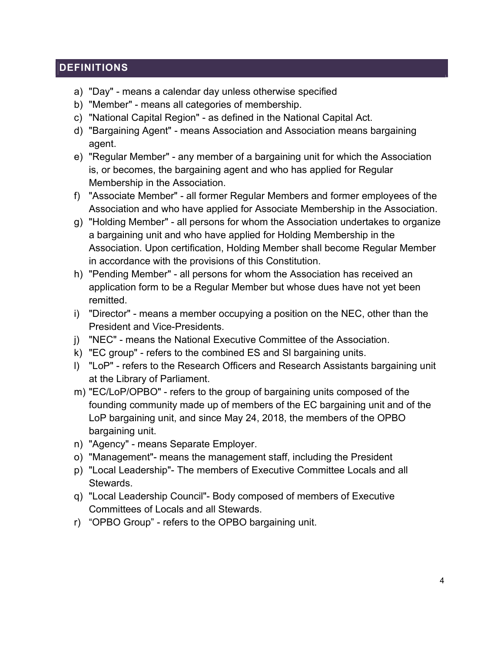# **DEFINITIONS**

- a) "Day" means a calendar day unless otherwise specified
- b) "Member" means all categories of membership.
- c) "National Capital Region" as defined in the National Capital Act.
- d) "Bargaining Agent" means Association and Association means bargaining agent.
- e) "Regular Member" any member of a bargaining unit for which the Association is, or becomes, the bargaining agent and who has applied for Regular Membership in the Association.
- f) "Associate Member" all former Regular Members and former employees of the Association and who have applied for Associate Membership in the Association.
- g) "Holding Member" all persons for whom the Association undertakes to organize a bargaining unit and who have applied for Holding Membership in the Association. Upon certification, Holding Member shall become Regular Member in accordance with the provisions of this Constitution.
- h) "Pending Member" all persons for whom the Association has received an application form to be a Regular Member but whose dues have not yet been remitted.
- i) "Director" means a member occupying a position on the NEC, other than the President and Vice-Presidents.
- j) "NEC" means the National Executive Committee of the Association.
- k) "EC group" refers to the combined ES and Sl bargaining units.
- l) "LoP" refers to the Research Officers and Research Assistants bargaining unit at the Library of Parliament.
- m) "EC/LoP/OPBO" refers to the group of bargaining units composed of the founding community made up of members of the EC bargaining unit and of the LoP bargaining unit, and since May 24, 2018, the members of the OPBO bargaining unit.
- n) "Agency" means Separate Employer.
- o) "Management"- means the management staff, including the President
- p) "Local Leadership"- The members of Executive Committee Locals and all Stewards.
- q) "Local Leadership Council"- Body composed of members of Executive Committees of Locals and all Stewards.
- r) "OPBO Group" refers to the OPBO bargaining unit.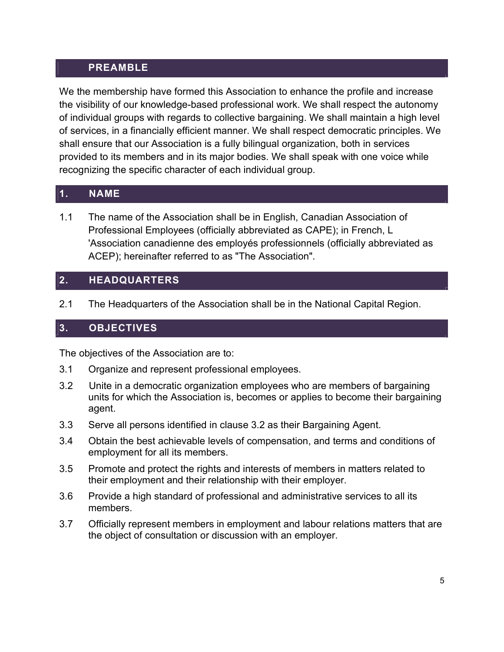#### PREAMBLE

We the membership have formed this Association to enhance the profile and increase the visibility of our knowledge-based professional work. We shall respect the autonomy of individual groups with regards to collective bargaining. We shall maintain a high level of services, in a financially efficient manner. We shall respect democratic principles. We shall ensure that our Association is a fully bilingual organization, both in services provided to its members and in its major bodies. We shall speak with one voice while recognizing the specific character of each individual group.

#### 1. NAME

1.1 The name of the Association shall be in English, Canadian Association of Professional Employees (officially abbreviated as CAPE); in French, L 'Association canadienne des employés professionnels (officially abbreviated as ACEP); hereinafter referred to as "The Association".

#### 2. HEADQUARTERS

2.1 The Headquarters of the Association shall be in the National Capital Region.

# 3. OBJECTIVES

The objectives of the Association are to:

- 3.1 Organize and represent professional employees.
- 3.2 Unite in a democratic organization employees who are members of bargaining units for which the Association is, becomes or applies to become their bargaining agent.
- 3.3 Serve all persons identified in clause 3.2 as their Bargaining Agent.
- 3.4 Obtain the best achievable levels of compensation, and terms and conditions of employment for all its members.
- 3.5 Promote and protect the rights and interests of members in matters related to their employment and their relationship with their employer.
- 3.6 Provide a high standard of professional and administrative services to all its members.
- 3.7 Officially represent members in employment and labour relations matters that are the object of consultation or discussion with an employer.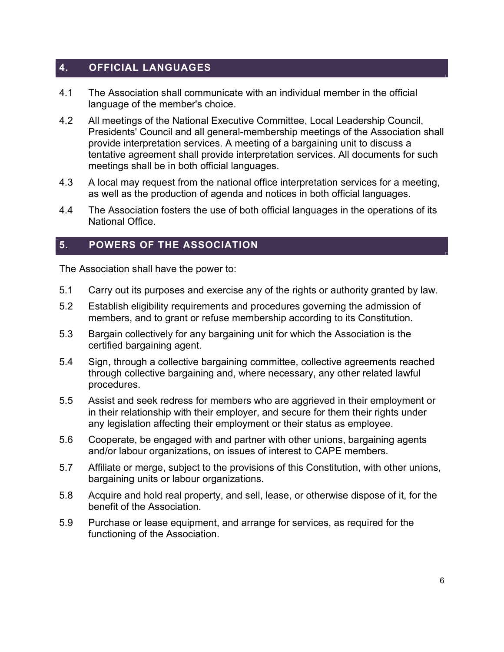# 4. OFFICIAL LANGUAGES

- 4.1 The Association shall communicate with an individual member in the official language of the member's choice.
- 4.2 All meetings of the National Executive Committee, Local Leadership Council, Presidents' Council and all general-membership meetings of the Association shall provide interpretation services. A meeting of a bargaining unit to discuss a tentative agreement shall provide interpretation services. All documents for such meetings shall be in both official languages.
- 4.3 A local may request from the national office interpretation services for a meeting, as well as the production of agenda and notices in both official languages.
- 4.4 The Association fosters the use of both official languages in the operations of its National Office.

#### 5. POWERS OF THE ASSOCIATION

The Association shall have the power to:

- 5.1 Carry out its purposes and exercise any of the rights or authority granted by law.
- 5.2 Establish eligibility requirements and procedures governing the admission of members, and to grant or refuse membership according to its Constitution.
- 5.3 Bargain collectively for any bargaining unit for which the Association is the certified bargaining agent.
- 5.4 Sign, through a collective bargaining committee, collective agreements reached through collective bargaining and, where necessary, any other related lawful procedures.
- 5.5 Assist and seek redress for members who are aggrieved in their employment or in their relationship with their employer, and secure for them their rights under any legislation affecting their employment or their status as employee.
- 5.6 Cooperate, be engaged with and partner with other unions, bargaining agents and/or labour organizations, on issues of interest to CAPE members.
- 5.7 Affiliate or merge, subject to the provisions of this Constitution, with other unions, bargaining units or labour organizations.
- 5.8 Acquire and hold real property, and sell, lease, or otherwise dispose of it, for the benefit of the Association.
- 5.9 Purchase or lease equipment, and arrange for services, as required for the functioning of the Association.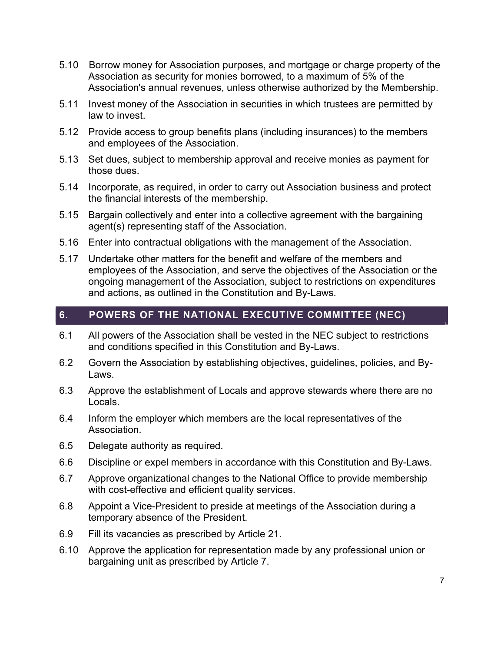- 5.10 Borrow money for Association purposes, and mortgage or charge property of the Association as security for monies borrowed, to a maximum of 5% of the Association's annual revenues, unless otherwise authorized by the Membership.
- 5.11 Invest money of the Association in securities in which trustees are permitted by law to invest.
- 5.12 Provide access to group benefits plans (including insurances) to the members and employees of the Association.
- 5.13 Set dues, subject to membership approval and receive monies as payment for those dues.
- 5.14 Incorporate, as required, in order to carry out Association business and protect the financial interests of the membership.
- 5.15 Bargain collectively and enter into a collective agreement with the bargaining agent(s) representing staff of the Association.
- 5.16 Enter into contractual obligations with the management of the Association.
- 5.17 Undertake other matters for the benefit and welfare of the members and employees of the Association, and serve the objectives of the Association or the ongoing management of the Association, subject to restrictions on expenditures and actions, as outlined in the Constitution and By-Laws.

# 6. POWERS OF THE NATIONAL EXECUTIVE COMMITTEE (NEC)

- 6.1 All powers of the Association shall be vested in the NEC subject to restrictions and conditions specified in this Constitution and By-Laws.
- 6.2 Govern the Association by establishing objectives, guidelines, policies, and By-Laws.
- 6.3 Approve the establishment of Locals and approve stewards where there are no Locals.
- 6.4 Inform the employer which members are the local representatives of the Association.
- 6.5 Delegate authority as required.
- 6.6 Discipline or expel members in accordance with this Constitution and By-Laws.
- 6.7 Approve organizational changes to the National Office to provide membership with cost-effective and efficient quality services.
- 6.8 Appoint a Vice-President to preside at meetings of the Association during a temporary absence of the President.
- 6.9 Fill its vacancies as prescribed by Article 21.
- 6.10 Approve the application for representation made by any professional union or bargaining unit as prescribed by Article 7.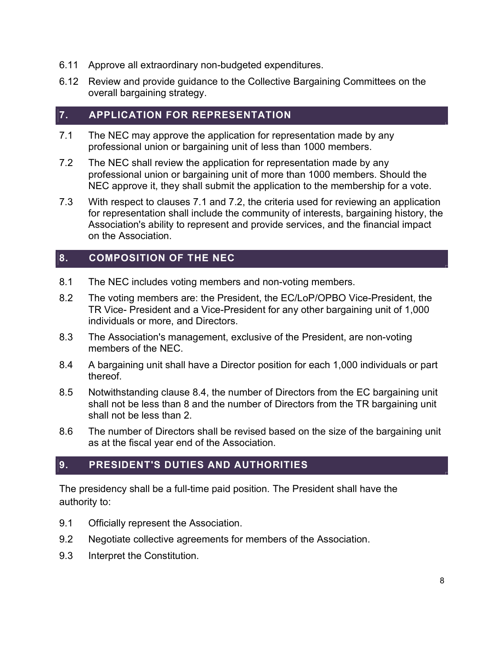- 6.11 Approve all extraordinary non-budgeted expenditures.
- 6.12 Review and provide guidance to the Collective Bargaining Committees on the overall bargaining strategy.

#### 7. APPLICATION FOR REPRESENTATION

- 7.1 The NEC may approve the application for representation made by any professional union or bargaining unit of less than 1000 members.
- 7.2 The NEC shall review the application for representation made by any professional union or bargaining unit of more than 1000 members. Should the NEC approve it, they shall submit the application to the membership for a vote.
- 7.3 With respect to clauses 7.1 and 7.2, the criteria used for reviewing an application for representation shall include the community of interests, bargaining history, the Association's ability to represent and provide services, and the financial impact on the Association.

#### 8. COMPOSITION OF THE NEC

- 8.1 The NEC includes voting members and non-voting members.
- 8.2 The voting members are: the President, the EC/LoP/OPBO Vice-President, the TR Vice- President and a Vice-President for any other bargaining unit of 1,000 individuals or more, and Directors.
- 8.3 The Association's management, exclusive of the President, are non-voting members of the NEC.
- 8.4 A bargaining unit shall have a Director position for each 1,000 individuals or part thereof.
- 8.5 Notwithstanding clause 8.4, the number of Directors from the EC bargaining unit shall not be less than 8 and the number of Directors from the TR bargaining unit shall not be less than 2.
- 8.6 The number of Directors shall be revised based on the size of the bargaining unit as at the fiscal year end of the Association.

#### 9. PRESIDENT'S DUTIES AND AUTHORITIES

The presidency shall be a full-time paid position. The President shall have the authority to:

- 9.1 Officially represent the Association.
- 9.2 Negotiate collective agreements for members of the Association.
- 9.3 Interpret the Constitution.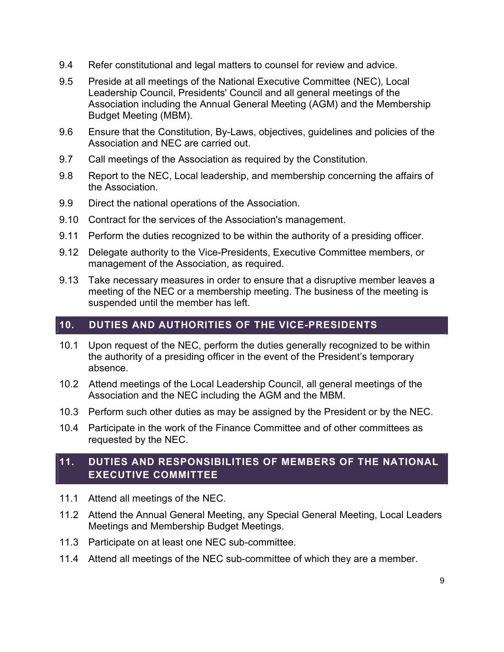- 9.4 Refer constitutional and legal matters to counsel for review and advice.
- 9.5 Preside at all meetings of the National Executive Committee (NEC), Local Leadership Council, Presidents' Council and all general meetings of the Association including the Annual General Meeting (AGM) and the Membership Budget Meeting (MBM).
- 9.6 Ensure that the Constitution, By-Laws, objectives, guidelines and policies of the Association and NEC are carried out.
- 9.7 Call meetings of the Association as required by the Constitution.
- 9.8 Report to the NEC, Local leadership, and membership concerning the affairs of the Association.
- 9.9 Direct the national operations of the Association.
- 9.10 Contract for the services of the Association's management.
- 9.11 Perform the duties recognized to be within the authority of a presiding officer.
- 9.12 Delegate authority to the Vice-Presidents, Executive Committee members, or management of the Association, as required.
- 9.13 Take necessary measures in order to ensure that a disruptive member leaves a meeting of the NEC or a membership meeting. The business of the meeting is suspended until the member has left.

#### 10. DUTIES AND AUTHORITIES OF THE VICE-PRESIDENTS

- 10.1 Upon request of the NEC, perform the duties generally recognized to be within the authority of a presiding officer in the event of the President's temporary absence.
- 10.2 Attend meetings of the Local Leadership Council, all general meetings of the Association and the NEC including the AGM and the MBM.
- 10.3 Perform such other duties as may be assigned by the President or by the NEC.
- 10.4 Participate in the work of the Finance Committee and of other committees as requested by the NEC.

# 11. DUTIES AND RESPONSIBILITIES OF MEMBERS OF THE NATIONAL EXECUTIVE COMMITTEE

- 11.1 Attend all meetings of the NEC.
- 11.2 Attend the Annual General Meeting, any Special General Meeting, Local Leaders Meetings and Membership Budget Meetings.
- 11.3 Participate on at least one NEC sub-committee.
- 11.4 Attend all meetings of the NEC sub-committee of which they are a member.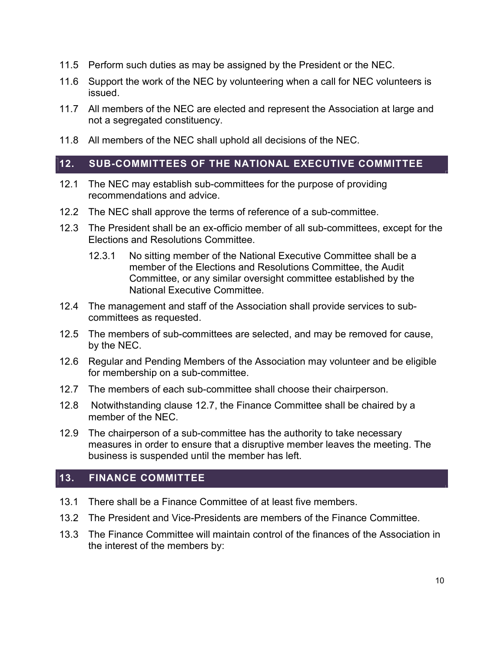- 11.5 Perform such duties as may be assigned by the President or the NEC.
- 11.6 Support the work of the NEC by volunteering when a call for NEC volunteers is issued.
- 11.7 All members of the NEC are elected and represent the Association at large and not a segregated constituency.
- 11.8 All members of the NEC shall uphold all decisions of the NEC.

#### 12. SUB-COMMITTEES OF THE NATIONAL EXECUTIVE COMMITTEE

- 12.1 The NEC may establish sub-committees for the purpose of providing recommendations and advice.
- 12.2 The NEC shall approve the terms of reference of a sub-committee.
- 12.3 The President shall be an ex-officio member of all sub-committees, except for the Elections and Resolutions Committee.
	- 12.3.1 No sitting member of the National Executive Committee shall be a member of the Elections and Resolutions Committee, the Audit Committee, or any similar oversight committee established by the National Executive Committee.
- 12.4 The management and staff of the Association shall provide services to subcommittees as requested.
- 12.5 The members of sub-committees are selected, and may be removed for cause, by the NEC.
- 12.6 Regular and Pending Members of the Association may volunteer and be eligible for membership on a sub-committee.
- 12.7 The members of each sub-committee shall choose their chairperson.
- 12.8 Notwithstanding clause 12.7, the Finance Committee shall be chaired by a member of the NEC.
- 12.9 The chairperson of a sub-committee has the authority to take necessary measures in order to ensure that a disruptive member leaves the meeting. The business is suspended until the member has left.

#### 13. FINANCE COMMITTEE

- 13.1 There shall be a Finance Committee of at least five members.
- 13.2 The President and Vice-Presidents are members of the Finance Committee.
- 13.3 The Finance Committee will maintain control of the finances of the Association in the interest of the members by: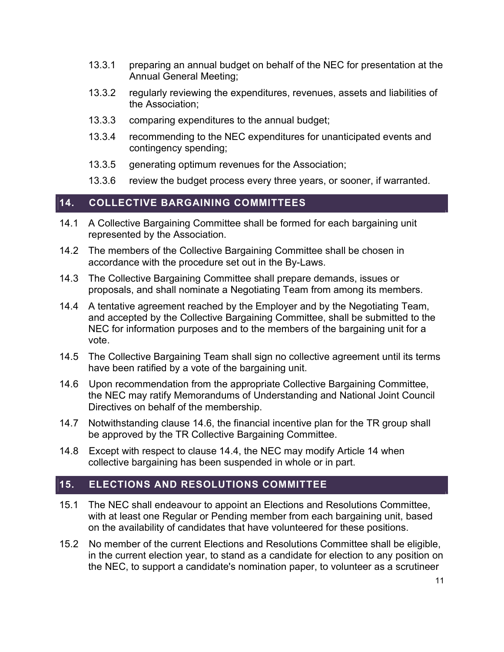- 13.3.1 preparing an annual budget on behalf of the NEC for presentation at the Annual General Meeting;
- 13.3.2 regularly reviewing the expenditures, revenues, assets and liabilities of the Association;
- 13.3.3 comparing expenditures to the annual budget;
- 13.3.4 recommending to the NEC expenditures for unanticipated events and contingency spending;
- 13.3.5 generating optimum revenues for the Association;
- 13.3.6 review the budget process every three years, or sooner, if warranted.

#### 14. COLLECTIVE BARGAINING COMMITTEES

- 14.1 A Collective Bargaining Committee shall be formed for each bargaining unit represented by the Association.
- 14.2 The members of the Collective Bargaining Committee shall be chosen in accordance with the procedure set out in the By-Laws.
- 14.3 The Collective Bargaining Committee shall prepare demands, issues or proposals, and shall nominate a Negotiating Team from among its members.
- 14.4 A tentative agreement reached by the Employer and by the Negotiating Team, and accepted by the Collective Bargaining Committee, shall be submitted to the NEC for information purposes and to the members of the bargaining unit for a vote.
- 14.5 The Collective Bargaining Team shall sign no collective agreement until its terms have been ratified by a vote of the bargaining unit.
- 14.6 Upon recommendation from the appropriate Collective Bargaining Committee, the NEC may ratify Memorandums of Understanding and National Joint Council Directives on behalf of the membership.
- 14.7 Notwithstanding clause 14.6, the financial incentive plan for the TR group shall be approved by the TR Collective Bargaining Committee.
- 14.8 Except with respect to clause 14.4, the NEC may modify Article 14 when collective bargaining has been suspended in whole or in part.

# 15. ELECTIONS AND RESOLUTIONS COMMITTEE

- 15.1 The NEC shall endeavour to appoint an Elections and Resolutions Committee, with at least one Regular or Pending member from each bargaining unit, based on the availability of candidates that have volunteered for these positions.
- 15.2 No member of the current Elections and Resolutions Committee shall be eligible, in the current election year, to stand as a candidate for election to any position on the NEC, to support a candidate's nomination paper, to volunteer as a scrutineer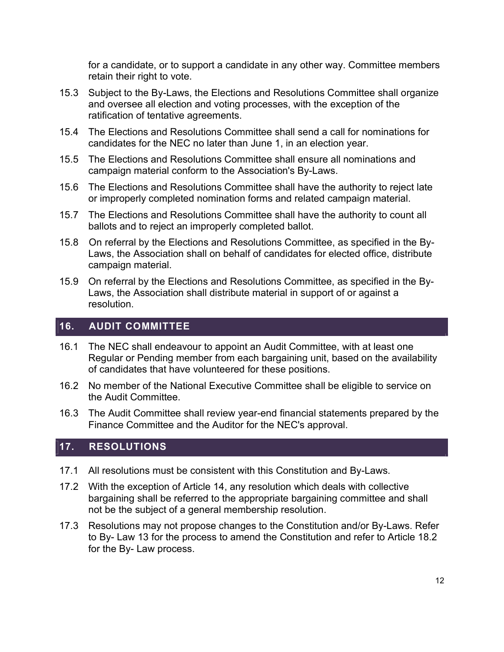for a candidate, or to support a candidate in any other way. Committee members retain their right to vote.

- 15.3 Subject to the By-Laws, the Elections and Resolutions Committee shall organize and oversee all election and voting processes, with the exception of the ratification of tentative agreements.
- 15.4 The Elections and Resolutions Committee shall send a call for nominations for candidates for the NEC no later than June 1, in an election year.
- 15.5 The Elections and Resolutions Committee shall ensure all nominations and campaign material conform to the Association's By-Laws.
- 15.6 The Elections and Resolutions Committee shall have the authority to reject late or improperly completed nomination forms and related campaign material.
- 15.7 The Elections and Resolutions Committee shall have the authority to count all ballots and to reject an improperly completed ballot.
- 15.8 On referral by the Elections and Resolutions Committee, as specified in the By-Laws, the Association shall on behalf of candidates for elected office, distribute campaign material.
- 15.9 On referral by the Elections and Resolutions Committee, as specified in the By-Laws, the Association shall distribute material in support of or against a resolution.

#### 16. AUDIT COMMITTEE

- 16.1 The NEC shall endeavour to appoint an Audit Committee, with at least one Regular or Pending member from each bargaining unit, based on the availability of candidates that have volunteered for these positions.
- 16.2 No member of the National Executive Committee shall be eligible to service on the Audit Committee.
- 16.3 The Audit Committee shall review year-end financial statements prepared by the Finance Committee and the Auditor for the NEC's approval.

#### 17. RESOLUTIONS

- 17.1 All resolutions must be consistent with this Constitution and By-Laws.
- 17.2 With the exception of Article 14, any resolution which deals with collective bargaining shall be referred to the appropriate bargaining committee and shall not be the subject of a general membership resolution.
- 17.3 Resolutions may not propose changes to the Constitution and/or By-Laws. Refer to By- Law 13 for the process to amend the Constitution and refer to Article 18.2 for the By- Law process.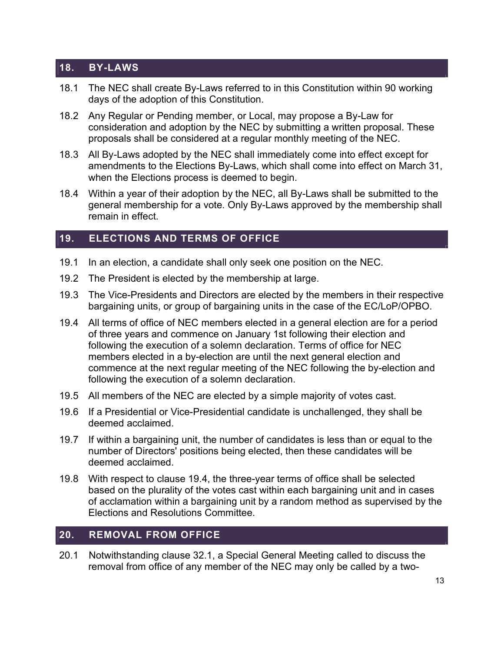# 18. BY-LAWS

- 18.1 The NEC shall create By-Laws referred to in this Constitution within 90 working days of the adoption of this Constitution.
- 18.2 Any Regular or Pending member, or Local, may propose a By-Law for consideration and adoption by the NEC by submitting a written proposal. These proposals shall be considered at a regular monthly meeting of the NEC.
- 18.3 All By-Laws adopted by the NEC shall immediately come into effect except for amendments to the Elections By-Laws, which shall come into effect on March 31, when the Elections process is deemed to begin.
- 18.4 Within a year of their adoption by the NEC, all By-Laws shall be submitted to the general membership for a vote. Only By-Laws approved by the membership shall remain in effect.

#### 19. ELECTIONS AND TERMS OF OFFICE

- 19.1 In an election, a candidate shall only seek one position on the NEC.
- 19.2 The President is elected by the membership at large.
- 19.3 The Vice-Presidents and Directors are elected by the members in their respective bargaining units, or group of bargaining units in the case of the EC/LoP/OPBO.
- 19.4 All terms of office of NEC members elected in a general election are for a period of three years and commence on January 1st following their election and following the execution of a solemn declaration. Terms of office for NEC members elected in a by-election are until the next general election and commence at the next regular meeting of the NEC following the by-election and following the execution of a solemn declaration.
- 19.5 All members of the NEC are elected by a simple majority of votes cast.
- 19.6 If a Presidential or Vice-Presidential candidate is unchallenged, they shall be deemed acclaimed.
- 19.7 If within a bargaining unit, the number of candidates is less than or equal to the number of Directors' positions being elected, then these candidates will be deemed acclaimed.
- 19.8 With respect to clause 19.4, the three-year terms of office shall be selected based on the plurality of the votes cast within each bargaining unit and in cases of acclamation within a bargaining unit by a random method as supervised by the Elections and Resolutions Committee.

# 20. REMOVAL FROM OFFICE

20.1 Notwithstanding clause 32.1, a Special General Meeting called to discuss the removal from office of any member of the NEC may only be called by a two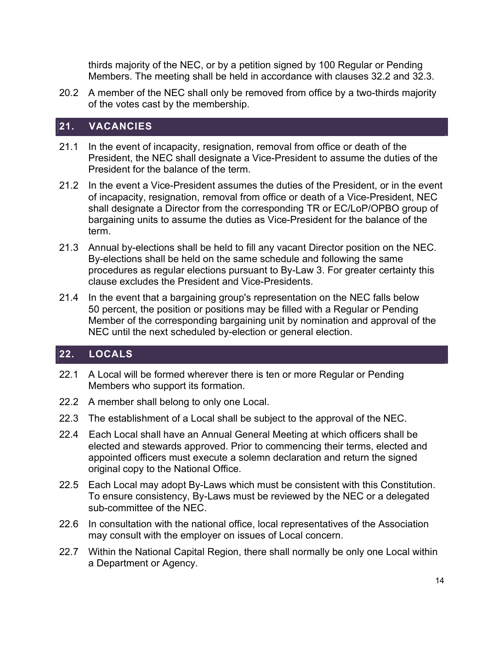thirds majority of the NEC, or by a petition signed by 100 Regular or Pending Members. The meeting shall be held in accordance with clauses 32.2 and 32.3.

20.2 A member of the NEC shall only be removed from office by a two-thirds majority of the votes cast by the membership.

#### 21. VACANCIES

- 21.1 In the event of incapacity, resignation, removal from office or death of the President, the NEC shall designate a Vice-President to assume the duties of the President for the balance of the term.
- 21.2 In the event a Vice-President assumes the duties of the President, or in the event of incapacity, resignation, removal from office or death of a Vice-President, NEC shall designate a Director from the corresponding TR or EC/LoP/OPBO group of bargaining units to assume the duties as Vice-President for the balance of the term.
- 21.3 Annual by-elections shall be held to fill any vacant Director position on the NEC. By-elections shall be held on the same schedule and following the same procedures as regular elections pursuant to By-Law 3. For greater certainty this clause excludes the President and Vice-Presidents.
- 21.4 In the event that a bargaining group's representation on the NEC falls below 50 percent, the position or positions may be filled with a Regular or Pending Member of the corresponding bargaining unit by nomination and approval of the NEC until the next scheduled by-election or general election.

# 22. LOCALS

- 22.1 A Local will be formed wherever there is ten or more Regular or Pending Members who support its formation.
- 22.2 A member shall belong to only one Local.
- 22.3 The establishment of a Local shall be subject to the approval of the NEC.
- 22.4 Each Local shall have an Annual General Meeting at which officers shall be elected and stewards approved. Prior to commencing their terms, elected and appointed officers must execute a solemn declaration and return the signed original copy to the National Office.
- 22.5 Each Local may adopt By-Laws which must be consistent with this Constitution. To ensure consistency, By-Laws must be reviewed by the NEC or a delegated sub-committee of the NEC.
- 22.6 In consultation with the national office, local representatives of the Association may consult with the employer on issues of Local concern.
- 22.7 Within the National Capital Region, there shall normally be only one Local within a Department or Agency.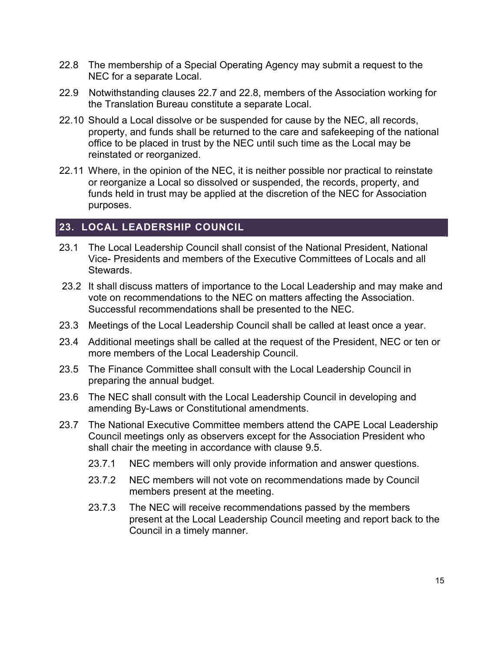- 22.8 The membership of a Special Operating Agency may submit a request to the NEC for a separate Local.
- 22.9 Notwithstanding clauses 22.7 and 22.8, members of the Association working for the Translation Bureau constitute a separate Local.
- 22.10 Should a Local dissolve or be suspended for cause by the NEC, all records, property, and funds shall be returned to the care and safekeeping of the national office to be placed in trust by the NEC until such time as the Local may be reinstated or reorganized.
- 22.11 Where, in the opinion of the NEC, it is neither possible nor practical to reinstate or reorganize a Local so dissolved or suspended, the records, property, and funds held in trust may be applied at the discretion of the NEC for Association purposes.

#### 23. LOCAL LEADERSHIP COUNCIL

- 23.1 The Local Leadership Council shall consist of the National President, National Vice- Presidents and members of the Executive Committees of Locals and all Stewards.
- 23.2 It shall discuss matters of importance to the Local Leadership and may make and vote on recommendations to the NEC on matters affecting the Association. Successful recommendations shall be presented to the NEC.
- 23.3 Meetings of the Local Leadership Council shall be called at least once a year.
- 23.4 Additional meetings shall be called at the request of the President, NEC or ten or more members of the Local Leadership Council.
- 23.5 The Finance Committee shall consult with the Local Leadership Council in preparing the annual budget.
- 23.6 The NEC shall consult with the Local Leadership Council in developing and amending By-Laws or Constitutional amendments.
- 23.7 The National Executive Committee members attend the CAPE Local Leadership Council meetings only as observers except for the Association President who shall chair the meeting in accordance with clause 9.5.
	- 23.7.1 NEC members will only provide information and answer questions.
	- 23.7.2 NEC members will not vote on recommendations made by Council members present at the meeting.
	- 23.7.3 The NEC will receive recommendations passed by the members present at the Local Leadership Council meeting and report back to the Council in a timely manner.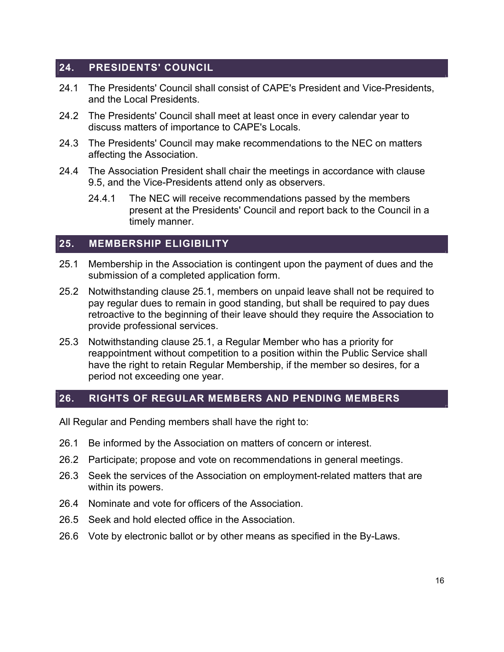#### 24. PRESIDENTS' COUNCIL

- 24.1 The Presidents' Council shall consist of CAPE's President and Vice-Presidents, and the Local Presidents.
- 24.2 The Presidents' Council shall meet at least once in every calendar year to discuss matters of importance to CAPE's Locals.
- 24.3 The Presidents' Council may make recommendations to the NEC on matters affecting the Association.
- 24.4 The Association President shall chair the meetings in accordance with clause 9.5, and the Vice-Presidents attend only as observers.
	- 24.4.1 The NEC will receive recommendations passed by the members present at the Presidents' Council and report back to the Council in a timely manner.

#### 25. MEMBERSHIP ELIGIBILITY

- 25.1 Membership in the Association is contingent upon the payment of dues and the submission of a completed application form.
- 25.2 Notwithstanding clause 25.1, members on unpaid leave shall not be required to pay regular dues to remain in good standing, but shall be required to pay dues retroactive to the beginning of their leave should they require the Association to provide professional services.
- 25.3 Notwithstanding clause 25.1, a Regular Member who has a priority for reappointment without competition to a position within the Public Service shall have the right to retain Regular Membership, if the member so desires, for a period not exceeding one year.

# 26. RIGHTS OF REGULAR MEMBERS AND PENDING MEMBERS

All Regular and Pending members shall have the right to:

- 26.1 Be informed by the Association on matters of concern or interest.
- 26.2 Participate; propose and vote on recommendations in general meetings.
- 26.3 Seek the services of the Association on employment-related matters that are within its powers.
- 26.4 Nominate and vote for officers of the Association.
- 26.5 Seek and hold elected office in the Association.
- 26.6 Vote by electronic ballot or by other means as specified in the By-Laws.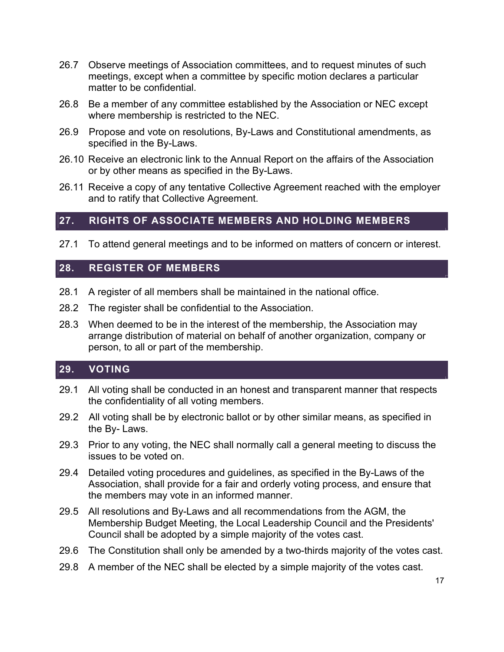- 26.7 Observe meetings of Association committees, and to request minutes of such meetings, except when a committee by specific motion declares a particular matter to be confidential.
- 26.8 Be a member of any committee established by the Association or NEC except where membership is restricted to the NEC.
- 26.9 Propose and vote on resolutions, By-Laws and Constitutional amendments, as specified in the By-Laws.
- 26.10 Receive an electronic link to the Annual Report on the affairs of the Association or by other means as specified in the By-Laws.
- 26.11 Receive a copy of any tentative Collective Agreement reached with the employer and to ratify that Collective Agreement.

#### 27. RIGHTS OF ASSOCIATE MEMBERS AND HOLDING MEMBERS

27.1 To attend general meetings and to be informed on matters of concern or interest.

#### 28. REGISTER OF MEMBERS

- 28.1 A register of all members shall be maintained in the national office.
- 28.2 The register shall be confidential to the Association.
- 28.3 When deemed to be in the interest of the membership, the Association may arrange distribution of material on behalf of another organization, company or person, to all or part of the membership.

#### 29. VOTING

- 29.1 All voting shall be conducted in an honest and transparent manner that respects the confidentiality of all voting members.
- 29.2 All voting shall be by electronic ballot or by other similar means, as specified in the By- Laws.
- 29.3 Prior to any voting, the NEC shall normally call a general meeting to discuss the issues to be voted on.
- 29.4 Detailed voting procedures and guidelines, as specified in the By-Laws of the Association, shall provide for a fair and orderly voting process, and ensure that the members may vote in an informed manner.
- 29.5 All resolutions and By-Laws and all recommendations from the AGM, the Membership Budget Meeting, the Local Leadership Council and the Presidents' Council shall be adopted by a simple majority of the votes cast.
- 29.6 The Constitution shall only be amended by a two-thirds majority of the votes cast.
- 29.8 A member of the NEC shall be elected by a simple majority of the votes cast.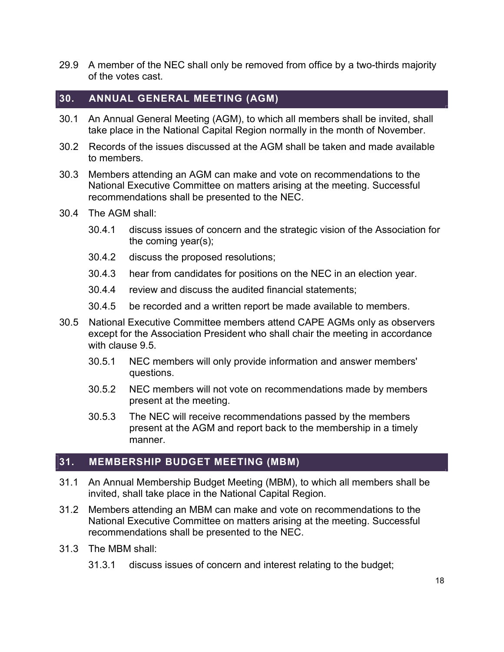29.9 A member of the NEC shall only be removed from office by a two-thirds majority of the votes cast.

#### 30. ANNUAL GENERAL MEETING (AGM)

- 30.1 An Annual General Meeting (AGM), to which all members shall be invited, shall take place in the National Capital Region normally in the month of November.
- 30.2 Records of the issues discussed at the AGM shall be taken and made available to members.
- 30.3 Members attending an AGM can make and vote on recommendations to the National Executive Committee on matters arising at the meeting. Successful recommendations shall be presented to the NEC.
- 30.4 The AGM shall:
	- 30.4.1 discuss issues of concern and the strategic vision of the Association for the coming year(s);
	- 30.4.2 discuss the proposed resolutions;
	- 30.4.3 hear from candidates for positions on the NEC in an election year.
	- 30.4.4 review and discuss the audited financial statements;
	- 30.4.5 be recorded and a written report be made available to members.
- 30.5 National Executive Committee members attend CAPE AGMs only as observers except for the Association President who shall chair the meeting in accordance with clause 9.5.
	- 30.5.1 NEC members will only provide information and answer members' questions.
	- 30.5.2 NEC members will not vote on recommendations made by members present at the meeting.
	- 30.5.3 The NEC will receive recommendations passed by the members present at the AGM and report back to the membership in a timely manner.

#### 31. MEMBERSHIP BUDGET MEETING (MBM)

- 31.1 An Annual Membership Budget Meeting (MBM), to which all members shall be invited, shall take place in the National Capital Region.
- 31.2 Members attending an MBM can make and vote on recommendations to the National Executive Committee on matters arising at the meeting. Successful recommendations shall be presented to the NEC.
- 31.3 The MBM shall:
	- 31.3.1 discuss issues of concern and interest relating to the budget;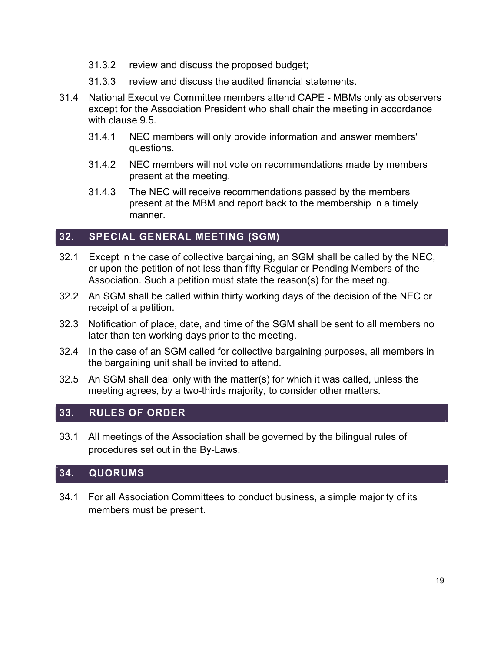- 31.3.2 review and discuss the proposed budget;
- 31.3.3 review and discuss the audited financial statements.
- 31.4 National Executive Committee members attend CAPE MBMs only as observers except for the Association President who shall chair the meeting in accordance with clause 9.5.
	- 31.4.1 NEC members will only provide information and answer members' questions.
	- 31.4.2 NEC members will not vote on recommendations made by members present at the meeting.
	- 31.4.3 The NEC will receive recommendations passed by the members present at the MBM and report back to the membership in a timely manner.

# 32. SPECIAL GENERAL MEETING (SGM)

- 32.1 Except in the case of collective bargaining, an SGM shall be called by the NEC, or upon the petition of not less than fifty Regular or Pending Members of the Association. Such a petition must state the reason(s) for the meeting.
- 32.2 An SGM shall be called within thirty working days of the decision of the NEC or receipt of a petition.
- 32.3 Notification of place, date, and time of the SGM shall be sent to all members no later than ten working days prior to the meeting.
- 32.4 In the case of an SGM called for collective bargaining purposes, all members in the bargaining unit shall be invited to attend.
- 32.5 An SGM shall deal only with the matter(s) for which it was called, unless the meeting agrees, by a two-thirds majority, to consider other matters.

#### 33. RULES OF ORDER

33.1 All meetings of the Association shall be governed by the bilingual rules of procedures set out in the By-Laws.

#### 34. QUORUMS

34.1 For all Association Committees to conduct business, a simple majority of its members must be present.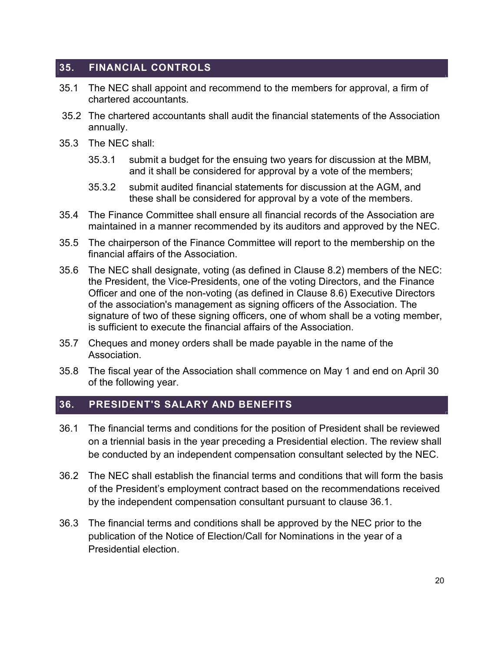# 35. FINANCIAL CONTROLS

- 35.1 The NEC shall appoint and recommend to the members for approval, a firm of chartered accountants.
- 35.2 The chartered accountants shall audit the financial statements of the Association annually.
- 35.3 The NEC shall:
	- 35.3.1 submit a budget for the ensuing two years for discussion at the MBM, and it shall be considered for approval by a vote of the members;
	- 35.3.2 submit audited financial statements for discussion at the AGM, and these shall be considered for approval by a vote of the members.
- 35.4 The Finance Committee shall ensure all financial records of the Association are maintained in a manner recommended by its auditors and approved by the NEC.
- 35.5 The chairperson of the Finance Committee will report to the membership on the financial affairs of the Association.
- 35.6 The NEC shall designate, voting (as defined in Clause 8.2) members of the NEC: the President, the Vice-Presidents, one of the voting Directors, and the Finance Officer and one of the non-voting (as defined in Clause 8.6) Executive Directors of the association's management as signing officers of the Association. The signature of two of these signing officers, one of whom shall be a voting member, is sufficient to execute the financial affairs of the Association.
- 35.7 Cheques and money orders shall be made payable in the name of the Association.
- 35.8 The fiscal year of the Association shall commence on May 1 and end on April 30 of the following year.

# 36. PRESIDENT'S SALARY AND BENEFITS

- 36.1 The financial terms and conditions for the position of President shall be reviewed on a triennial basis in the year preceding a Presidential election. The review shall be conducted by an independent compensation consultant selected by the NEC.
- 36.2 The NEC shall establish the financial terms and conditions that will form the basis of the President's employment contract based on the recommendations received by the independent compensation consultant pursuant to clause 36.1.
- 36.3 The financial terms and conditions shall be approved by the NEC prior to the publication of the Notice of Election/Call for Nominations in the year of a Presidential election.